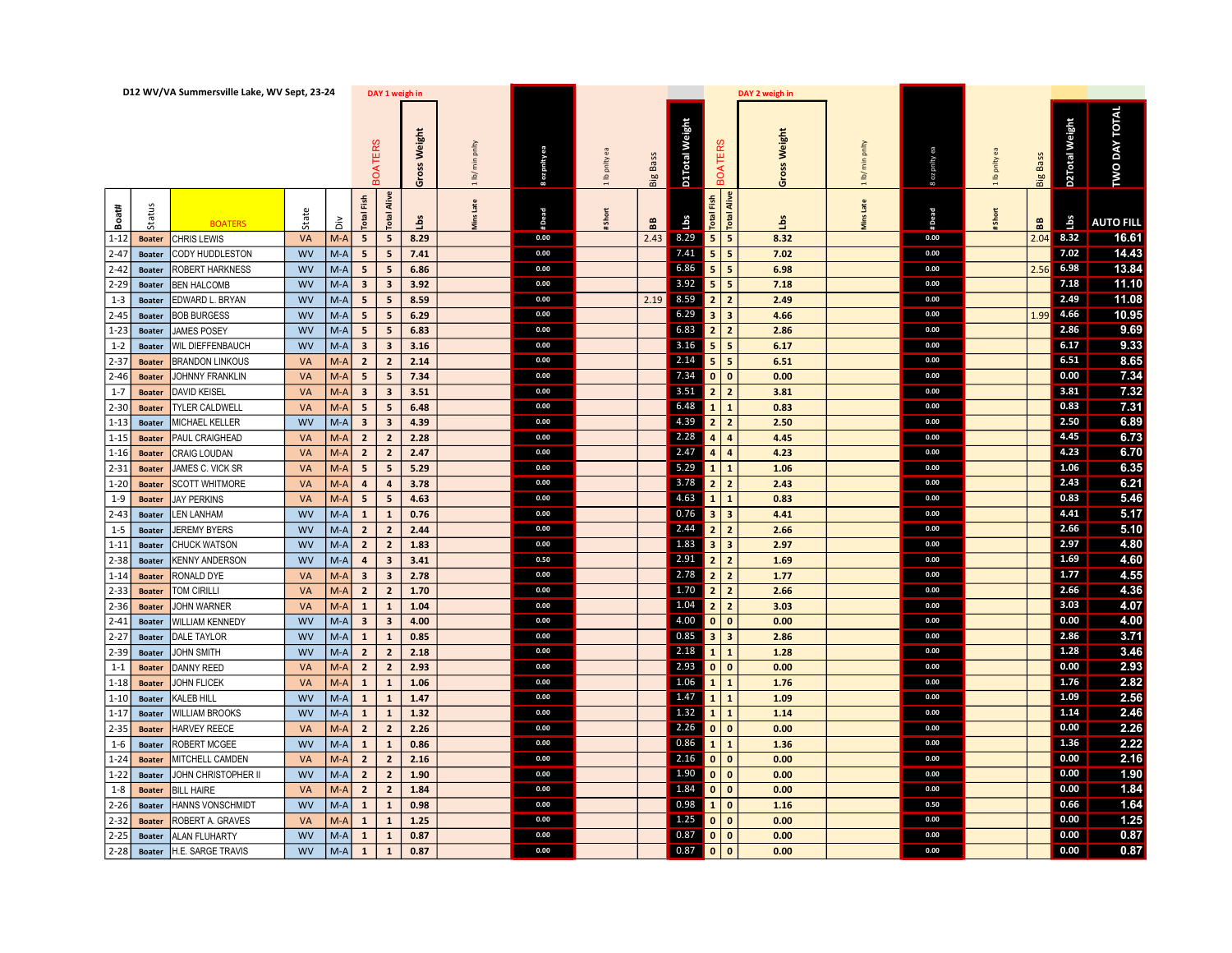|          |               | D12 WV/VA Summersville Lake, WV Sept, 23-24 |                             |                         |                         | DAY 1 weigh in     |                                  |               |               |                 |                |                                                 | DAY 2 weigh in            |                                  |              |             |                 |                |                      |
|----------|---------------|---------------------------------------------|-----------------------------|-------------------------|-------------------------|--------------------|----------------------------------|---------------|---------------|-----------------|----------------|-------------------------------------------------|---------------------------|----------------------------------|--------------|-------------|-----------------|----------------|----------------------|
|          |               |                                             |                             | OATERS                  |                         | Weight<br>oss<br>Ğ | pnty<br>$\overline{n}$<br>$\geq$ | 8 oz pnity ea | 1 lb pnlty ea | <b>Big Bass</b> | D1Total Weight | <b>BOATERS</b>                                  | Weight<br><b>ass</b><br>ō | pnity<br>$\frac{c}{R}$<br>$\geq$ | Boz prity ea | Ib prity ea | <b>Big Bass</b> | D2Total Weight | <b>TWO DAY TOTAL</b> |
| Boat#    | û             | <b>BOATERS</b>                              | State<br>$\frac{2}{\Omega}$ | Fish<br><b>Total</b>    | Alive<br><b>Total</b>   | å                  | ns Late                          | #Dead         | Short         | BB              | $\mathbf{u}$ s | $\frac{5}{2}$<br>Alive<br><b>Total</b><br>Total | $\frac{1}{2}$             | ns Late                          | #Dead        | Short       | 88              | ق              | <b>AUTO FILL</b>     |
| $1 - 12$ | <b>Boater</b> | CHRIS LEWIS                                 | VA<br>$M-A$                 | 5                       | 5                       | 8.29               |                                  | 0.00          |               | 2.43            | 8.29           | $5$ 5                                           | 8.32                      |                                  | 0.00         |             |                 | $2.04$ 8.32    | 16.61                |
| $2 - 47$ | <b>Boater</b> | CODY HUDDLESTON                             | <b>WV</b><br>$M-A$          | 5                       | 5 <sub>5</sub>          | 7.41               |                                  | 0.00          |               |                 | 7.41           | $\vert$ 5<br>$5\phantom{.0}$                    | 7.02                      |                                  | 0.00         |             |                 | 7.02           | 14.43                |
| $2 - 42$ | <b>Boater</b> | ROBERT HARKNESS                             | <b>WV</b><br>$M-A$          | 5                       | 5 <sub>5</sub>          | 6.86               |                                  | 0.00          |               |                 | 6.86           | 5<br>5                                          | 6.98                      |                                  | 0.00         |             | 2.56            | 6.98           | 13.84                |
| $2 - 29$ | <b>Boater</b> | <b>BEN HALCOMB</b>                          | <b>WV</b><br>$M-A$          | $\overline{\mathbf{3}}$ | $\overline{\mathbf{3}}$ | 3.92               |                                  | 0.00          |               |                 | $3.92$ 5       | 5                                               | 7.18                      |                                  | 0.00         |             |                 | 7.18           | 11.10                |
| $1 - 3$  | <b>Boater</b> | EDWARD L. BRYAN                             | <b>WV</b><br>$M-A$          | 5                       | 5 <sub>5</sub>          | 8.59               |                                  | 0.00          |               | 2.19            | 8.59           | $2$   2                                         | 2.49                      |                                  | 0.00         |             |                 | 2.49           | 11.08                |
| $2 - 45$ | <b>Boater</b> | <b>BOB BURGESS</b>                          | <b>WV</b><br>$M-A$          | 5 <sup>5</sup>          | 5 <sub>5</sub>          | 6.29               |                                  | 0.00          |               |                 | 6.29           | 3 <br>$\vert$ 3                                 | 4.66                      |                                  | 0.00         |             |                 | $1.99$ 4.66    | 10.95                |
| $1 - 23$ | <b>Boater</b> | <b>JAMES POSEY</b>                          | <b>WV</b><br>$M-A$          | 5                       | $5\overline{5}$         | 6.83               |                                  | 0.00          |               |                 | 6.83           | 2 <br>$\vert$ 2                                 | 2.86                      |                                  | 0.00         |             |                 | 2.86           | 9.69                 |
| $1 - 2$  | <b>Boater</b> | WIL DIEFFENBAUCH                            | <b>WV</b><br>$M-A$          | $\overline{\mathbf{3}}$ | $\overline{\mathbf{3}}$ | 3.16               |                                  | 0.00          |               |                 |                | $3.16$ 5 5                                      | 6.17                      |                                  | 0.00         |             |                 | 6.17           | 9.33                 |
| 2-37     | <b>Boater</b> | <b>BRANDON LINKOUS</b>                      | M-A<br><b>VA</b>            | $\overline{2}$          | $\overline{2}$          | 2.14               |                                  | 0.00          |               |                 | 2.14           | $5$ 5                                           | 6.51                      |                                  | 0.00         |             |                 | 6.51           | 8.65                 |
| $2 - 46$ | <b>Boater</b> | JOHNNY FRANKLIN                             | $M-A$<br><b>VA</b>          | 5                       | 5                       | 7.34               |                                  | 0.00          |               |                 | 7.34           | 0 0                                             | 0.00                      |                                  | 0.00         |             |                 | 0.00           | 7.34                 |
| $1 - 7$  | <b>Boater</b> | DAVID KEISEL                                | <b>VA</b><br>$M-A$          | $\overline{\mathbf{3}}$ | $\overline{\mathbf{3}}$ | 3.51               |                                  | 0.00          |               |                 | 3.51           | $2$   2                                         | 3.81                      |                                  | 0.00         |             |                 | 3.81           | 7.32                 |
| $2 - 30$ | <b>Boater</b> | TYLER CALDWELL                              | $M-A$<br><b>VA</b>          | 5                       | 5 <sub>5</sub>          | 6.48               |                                  | 0.00          |               |                 | 6.48           | 111                                             | 0.83                      |                                  | 0.00         |             |                 | 0.83           | 7.31                 |
| $1 - 13$ | <b>Boater</b> | MICHAEL KELLER                              | <b>WV</b><br>M-A            | $\overline{\mathbf{3}}$ | $\overline{\mathbf{3}}$ | 4.39               |                                  | 0.00          |               |                 | 4.39           | $2$   2                                         | 2.50                      |                                  | 0.00         |             |                 | 2.50           | 6.89                 |
| $1 - 15$ | <b>Boater</b> | PAUL CRAIGHEAD                              | M-A l<br><b>VA</b>          | $\overline{2}$          | $\overline{2}$          | 2.28               |                                  | 0.00          |               |                 | 2.28           | 4<br>$\overline{a}$                             | 4.45                      |                                  | 0.00         |             |                 | 4.45           | 6.73                 |
| $1 - 16$ | <b>Boater</b> | <b>CRAIG LOUDAN</b>                         | $M-A$<br>VA                 | $\overline{2}$          | $\overline{2}$          | 2.47               |                                  | 0.00          |               |                 | 2.47           | 4 4                                             | 4.23                      |                                  | 0.00         |             |                 | 4.23           | 6.70                 |
| $2 - 31$ | <b>Boater</b> | IAMES C. VICK SR                            | $M-A$<br><b>VA</b>          | 5                       | $5\overline{5}$         | 5.29               |                                  | 0.00          |               |                 | 5.29           | 111                                             | 1.06                      |                                  | 0.00         |             |                 | 1.06           | 6.35                 |
| $1 - 20$ | <b>Boater</b> | <b>SCOTT WHITMORE</b>                       | VA<br>$M-A$                 | $\overline{a}$          | $\overline{a}$          | 3.78               |                                  | 0.00          |               |                 | 3.78           | $2$   2                                         | 2.43                      |                                  | 0.00         |             |                 | 2.43           | 6.21                 |
| $1-9$    | <b>Boater</b> | JAY PERKINS                                 | $M-A$<br><b>VA</b>          | 5                       | 5                       | 4.63               |                                  | 0.00          |               |                 |                | 4.63 $1 \vert 1$                                | 0.83                      |                                  | 0.00         |             |                 | 0.83           | 5.46                 |
| $2 - 43$ | <b>Boater</b> | LEN LANHAM                                  | <b>WV</b><br>M-A            | $\mathbf{1}$            | $\mathbf{1}$            | 0.76               |                                  | 0.00          |               |                 | 0.76           | 3 3                                             | 4.41                      |                                  | 0.00         |             |                 | 4.41           | 5.17                 |
| $1 - 5$  | <b>Boater</b> | <b>JEREMY BYERS</b>                         | <b>WV</b><br>$M-A$          | $\overline{2}$          | $\overline{2}$          | 2.44               |                                  | 0.00          |               |                 | 2.44           | $2$   2                                         | 2.66                      |                                  | 0.00         |             |                 | 2.66           | 5.10                 |
| $1 - 11$ | <b>Boater</b> | <b>CHUCK WATSON</b>                         | $M-A$<br><b>WV</b>          | $\overline{2}$          | $\overline{2}$          | 1.83               |                                  | 0.00          |               |                 | 1.83           | $3 \mid 3$                                      | 2.97                      |                                  | 0.00         |             |                 | 2.97           | 4.80                 |
| $2 - 38$ | <b>Boater</b> | <b>KENNY ANDERSON</b>                       | <b>WV</b><br>$M-A$          | $\overline{4}$          | $\overline{\mathbf{3}}$ | 3.41               |                                  | 0.50          |               |                 | 2.91           | $2$   2                                         | 1.69                      |                                  | 0.00         |             |                 | 1.69           | 4.60                 |
| $1 - 14$ | <b>Boater</b> | RONALD DYE                                  | $M-A$<br><b>VA</b>          | $\overline{\mathbf{3}}$ | $\overline{\mathbf{3}}$ | 2.78               |                                  | 0.00          |               |                 | 2.78           | $2$   2                                         | 1.77                      |                                  | 0.00         |             |                 | 1.77           | 4.55                 |
| 2-33     | <b>Boater</b> | TOM CIRILLI                                 | <b>VA</b><br>$M-A$          | $\overline{2}$          | $\overline{2}$          | 1.70               |                                  | 0.00          |               |                 | 1.70           | 2 <br>$\vert$ 2                                 | 2.66                      |                                  | 0.00         |             |                 | 2.66           | 4.36                 |
| $2 - 36$ | <b>Boater</b> | <b>JOHN WARNER</b>                          | VA<br>M-A                   | $\mathbf{1}$            | $\mathbf{1}$            | 1.04               |                                  | 0.00          |               |                 | 1.04           | $\vert$ 2<br>$\overline{2}$                     | 3.03                      |                                  | 0.00         |             |                 | 3.03           | 4.07                 |
| $2 - 41$ | <b>Boater</b> | WILLIAM KENNEDY                             | $M-A$<br><b>WV</b>          | $\overline{\mathbf{3}}$ | $\overline{\mathbf{3}}$ | 4.00               |                                  | 0.00          |               |                 | 4.00           | 0 0                                             | 0.00                      |                                  | 0.00         |             |                 | 0.00           | 4.00                 |
| $2 - 27$ | <b>Boater</b> | DALE TAYLOR                                 | $M-A$<br><b>WV</b>          | $\mathbf{1}$            | $\mathbf{1}$            | 0.85               |                                  | 0.00          |               |                 | 0.85           | 3 <br>$\overline{\mathbf{3}}$                   | 2.86                      |                                  | 0.00         |             |                 | 2.86           | 3.71                 |
| 2-39     | <b>Boater</b> | JOHN SMITH                                  | <b>WV</b><br>$M-A$          | $\overline{2}$          | $\overline{2}$          | 2.18               |                                  | 0.00          |               |                 | 2.18           | 11                                              | 1.28                      |                                  | 0.00         |             |                 | 1.28           | 3.46                 |
| $1 - 1$  | <b>Boater</b> | <b>DANNY REED</b>                           | VA<br>$M-A$                 | $\overline{2}$          | $\overline{2}$          | 2.93               |                                  | 0.00          |               |                 |                |                                                 | 0.00                      |                                  | 0.00         |             |                 | 0.00           | 2.93                 |
| $1 - 18$ | <b>Boater</b> | JOHN FLICEK                                 | VA<br>$M-A$                 | $\mathbf{1}$            | $\mathbf{1}$            | 1.06               |                                  | 0.00          |               |                 | 1.06           | 11                                              | 1.76                      |                                  | 0.00         |             |                 | 1.76           | 2.82                 |
| $1 - 10$ | <b>Boater</b> | KALEB HILL                                  | <b>WV</b><br>$M-A$          | $\mathbf{1}$            | $\mathbf{1}$            | 1.47               |                                  | 0.00          |               |                 | 1.47           | $\vert 1 \vert$<br>$\mathbf{1}$                 | 1.09                      |                                  | 0.00         |             |                 | 1.09           | 2.56                 |
| $1 - 17$ | <b>Boater</b> | WILLIAM BROOKS                              | <b>WV</b><br>$M-A$          | $\mathbf{1}$            | $\mathbf{1}$            | 1.32               |                                  | 0.00          |               |                 | 1.32           | 11                                              | 1.14                      |                                  | 0.00         |             |                 | 1.14           | 2.46                 |
| $2 - 35$ | <b>Boater</b> | HARVEY REECE                                | VA<br>$M-A$                 | $\overline{2}$          | $\overline{2}$          | 2.26               |                                  | 0.00          |               |                 |                | 2.26 $\vert$ 0 $\vert$ 0                        | 0.00                      |                                  | 0.00         |             |                 | 0.00           | 2.26                 |
| $1 - 6$  | <b>Boater</b> | ROBERT MCGEE                                | <b>WV</b><br>$M-A$          | $\mathbf{1}$            | $\mathbf{1}$            | 0.86               |                                  | 0.00          |               |                 | 0.86           | $1 \vert 1$                                     | 1.36                      |                                  | 0.00         |             |                 | 1.36           | 2.22                 |
| $1 - 24$ | <b>Boater</b> | MITCHELL CAMDEN                             | VA<br>M-A                   | $\overline{2}$          | $\overline{2}$          | 2.16               |                                  | 0.00          |               |                 |                | 2.16 $\vert$ 0 $\vert$ 0                        | 0.00                      |                                  | 0.00         |             |                 | 0.00           | 2.16                 |
| $1-22$   | <b>Boater</b> | IOHN CHRISTOPHER II                         | <b>WV</b><br>$M-A$          | $\overline{2}$          | $\overline{2}$          | 1.90               |                                  | 0.00          |               |                 | 1.90           | 0 0                                             | 0.00                      |                                  | 0.00         |             |                 | 0.00           | 1.90                 |
| $1 - 8$  | <b>Boater</b> | BILL HAIRE                                  | VA<br>$M-A$                 | $\overline{2}$          | $\overline{2}$          | 1.84               |                                  | 0.00          |               |                 | 1.84           | 0 0                                             | 0.00                      |                                  | 0.00         |             |                 | 0.00           | 1.84                 |
| $2 - 26$ | <b>Boater</b> | HANNS VONSCHMIDT                            | $M-A$<br><b>WV</b>          | $\mathbf{1}$            | $\mathbf{1}$            | 0.98               |                                  | 0.00          |               |                 | 0.98           | 1<br>$\overline{\mathbf{0}}$                    | 1.16                      |                                  | 0.50         |             |                 | 0.66           | 1.64                 |
| 2-32     | <b>Boater</b> | ROBERT A. GRAVES                            | <b>VA</b><br>$M-A$          | $\mathbf{1}$            | $\mathbf{1}$            | 1.25               |                                  | 0.00          |               |                 | 1.25           | 0 0                                             | 0.00                      |                                  | 0.00         |             |                 | 0.00           | 1.25                 |
| $2 - 25$ | <b>Boater</b> | ALAN FLUHARTY                               | $M-A$<br><b>WV</b>          | $\mathbf{1}$            | $\mathbf{1}$            | 0.87               |                                  | 0.00          |               |                 |                | $0.87$ 0 0                                      | 0.00                      |                                  | 0.00         |             |                 | 0.00           | 0.87                 |
|          | $2-28$ Boater | H.E. SARGE TRAVIS                           | <b>WV</b><br>$M-A$          | $\mathbf{1}$            | $\mathbf{1}$            | 0.87               |                                  | 0.00          |               |                 |                | $0.87$ 0 0                                      | 0.00                      |                                  | 0.00         |             |                 | 0.00           | 0.87                 |
|          |               |                                             |                             |                         |                         |                    |                                  |               |               |                 |                |                                                 |                           |                                  |              |             |                 |                |                      |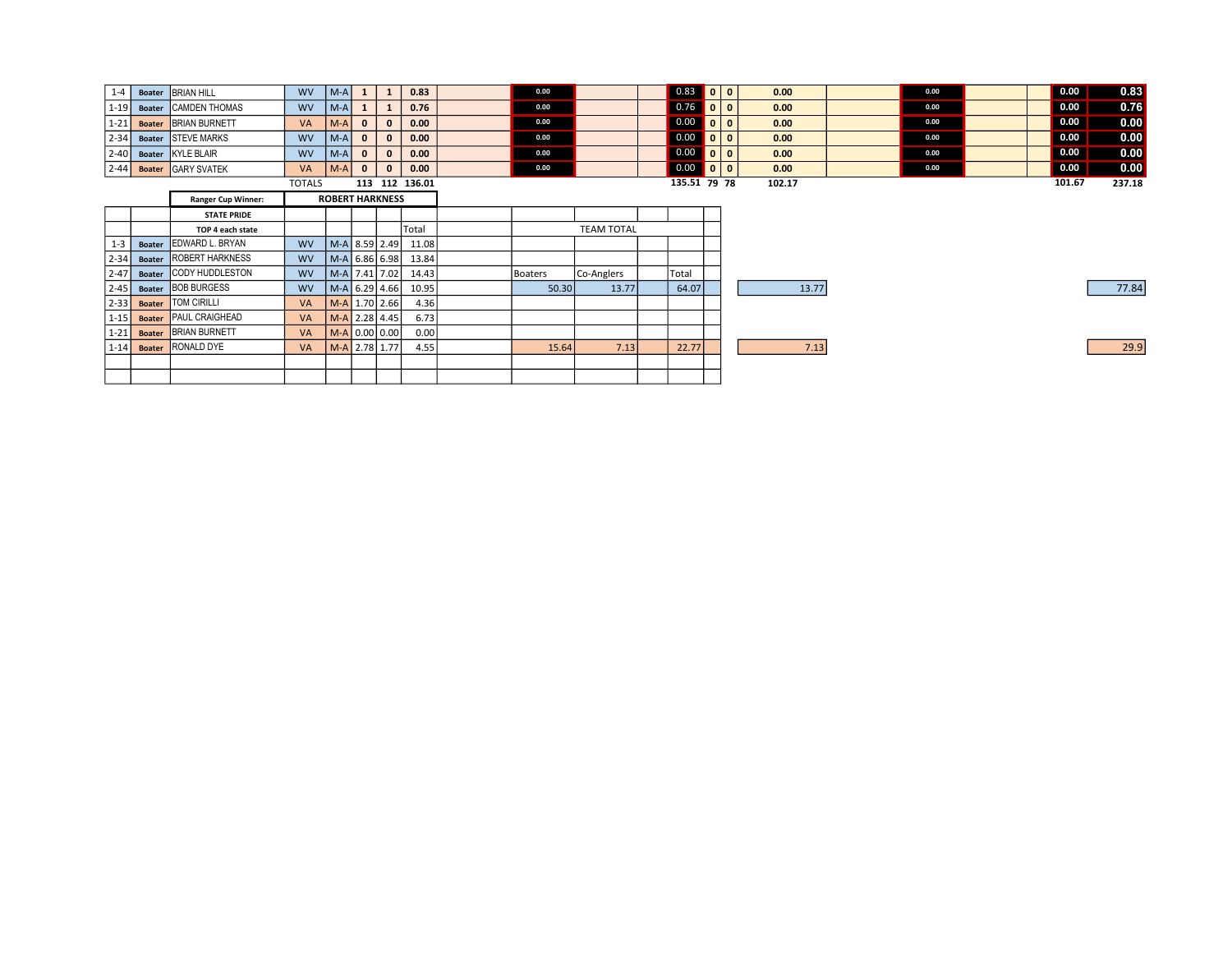| $1 - 4$  | <b>Boater</b> | <b>BRIAN HILL</b>         | <b>WV</b>     | $ M-A $ | 1                      |              | 0.83           | 0.00    |                   | $0.83$ 0 0   |                          |              | 0.00   | 0.00 |  | 0.00                          | 0.83   |
|----------|---------------|---------------------------|---------------|---------|------------------------|--------------|----------------|---------|-------------------|--------------|--------------------------|--------------|--------|------|--|-------------------------------|--------|
| $1-19$   | <b>Boater</b> | <b>CAMDEN THOMAS</b>      | <b>WV</b>     | $ M-A $ | 1                      |              | 0.76           | 0.00    |                   |              |                          | $\mathbf{0}$ | 0.00   | 0.00 |  | 0.00                          | 0.76   |
| $1-21$   | <b>Boater</b> | <b>BRIAN BURNETT</b>      | <b>VA</b>     | $ M-A $ | $\mathbf{0}$           | $\mathbf{0}$ | 0.00           | 0.00    |                   | $0.00$ 0     |                          | $\mathbf{0}$ | 0.00   | 0.00 |  | 0.00                          | 0.00   |
| $2 - 34$ | <b>Boater</b> | <b>STEVE MARKS</b>        | <b>WV</b>     | $ M-A $ | $\mathbf{0}$           | $\mathbf{o}$ | 0.00           | 0.00    |                   | $0.00$ 0     |                          | $\mathbf{0}$ | 0.00   | 0.00 |  | 0.00                          | 0.00   |
| $2 - 40$ | <b>Boater</b> | KYLE BLAIR                | <b>WV</b>     | $ M-A $ | $\mathbf{0}$           | $\mathbf{0}$ | 0.00           | 0.00    |                   | 0.00         | $\overline{\phantom{0}}$ | $\mathbf{0}$ | 0.00   | 0.00 |  | 0.00                          | 0.00   |
| $2 - 44$ | <b>Boater</b> | <b>GARY SVATEK</b>        | VA            | $ M-A $ | $\mathbf{0}$           | $\mathbf{0}$ | 0.00           | 0.00    |                   | $0.00$ 0 0   |                          |              | 0.00   | 0.00 |  | $\overline{\phantom{0}}$ 0.00 | 0.00   |
|          |               |                           | <b>TOTALS</b> |         |                        |              | 113 112 136.01 |         |                   | 135.51 79 78 |                          |              | 102.17 |      |  | 101.67                        | 237.18 |
|          |               | <b>Ranger Cup Winner:</b> |               |         | <b>ROBERT HARKNESS</b> |              |                |         |                   |              |                          |              |        |      |  |                               |        |
|          |               | <b>STATE PRIDE</b>        |               |         |                        |              |                |         |                   |              |                          |              |        |      |  |                               |        |
|          |               | TOP 4 each state          |               |         |                        |              | Total          |         | <b>TEAM TOTAL</b> |              |                          |              |        |      |  |                               |        |
| $1 - 3$  | <b>Boater</b> | <b>EDWARD L. BRYAN</b>    | <b>WV</b>     |         | $M-A$ 8.59 2.49        |              | 11.08          |         |                   |              |                          |              |        |      |  |                               |        |
| $2 - 34$ | <b>Boater</b> | <b>ROBERT HARKNESS</b>    | <b>WV</b>     |         | $M-A$ 6.86 6.98        |              | 13.84          |         |                   |              |                          |              |        |      |  |                               |        |
| $2 - 47$ | <b>Boater</b> | <b>CODY HUDDLESTON</b>    | <b>WV</b>     |         | M-A 7.41 7.02          |              | 14.43          | Boaters | Co-Anglers        | Total        |                          |              |        |      |  |                               |        |
| $2 - 45$ | <b>Boater</b> | <b>BOB BURGESS</b>        | <b>WV</b>     |         | $M-A$ 6.29 4.66        |              | 10.95          | 50.30   | 13.77             | 64.07        |                          |              | 13.77  |      |  |                               | 77.84  |
| $2-33$   | <b>Boater</b> | <b>TOM CIRILLI</b>        | VA            |         | M-A 1.70 2.66          |              | 4.36           |         |                   |              |                          |              |        |      |  |                               |        |
| $1 - 15$ | <b>Boater</b> | <b>PAUL CRAIGHEAD</b>     | <b>VA</b>     |         | M-A 2.28 4.45          |              | 6.73           |         |                   |              |                          |              |        |      |  |                               |        |
| $1 - 21$ | <b>Boater</b> | <b>BRIAN BURNETT</b>      | VA            |         | $M-A$ 0.00 0.00        |              | 0.00           |         |                   |              |                          |              |        |      |  |                               |        |
| $1 - 14$ | <b>Boater</b> | <b>RONALD DYE</b>         | VA            |         | M-A 2.78 1.77          |              | 4.55           | 15.64   | 7.13              | 22.77        |                          |              | 7.13   |      |  |                               | 29.9   |
|          |               |                           |               |         |                        |              |                |         |                   |              |                          |              |        |      |  |                               |        |
|          |               |                           |               |         |                        |              |                |         |                   |              |                          |              |        |      |  |                               |        |
|          |               |                           |               |         |                        |              |                |         |                   |              |                          |              |        |      |  |                               |        |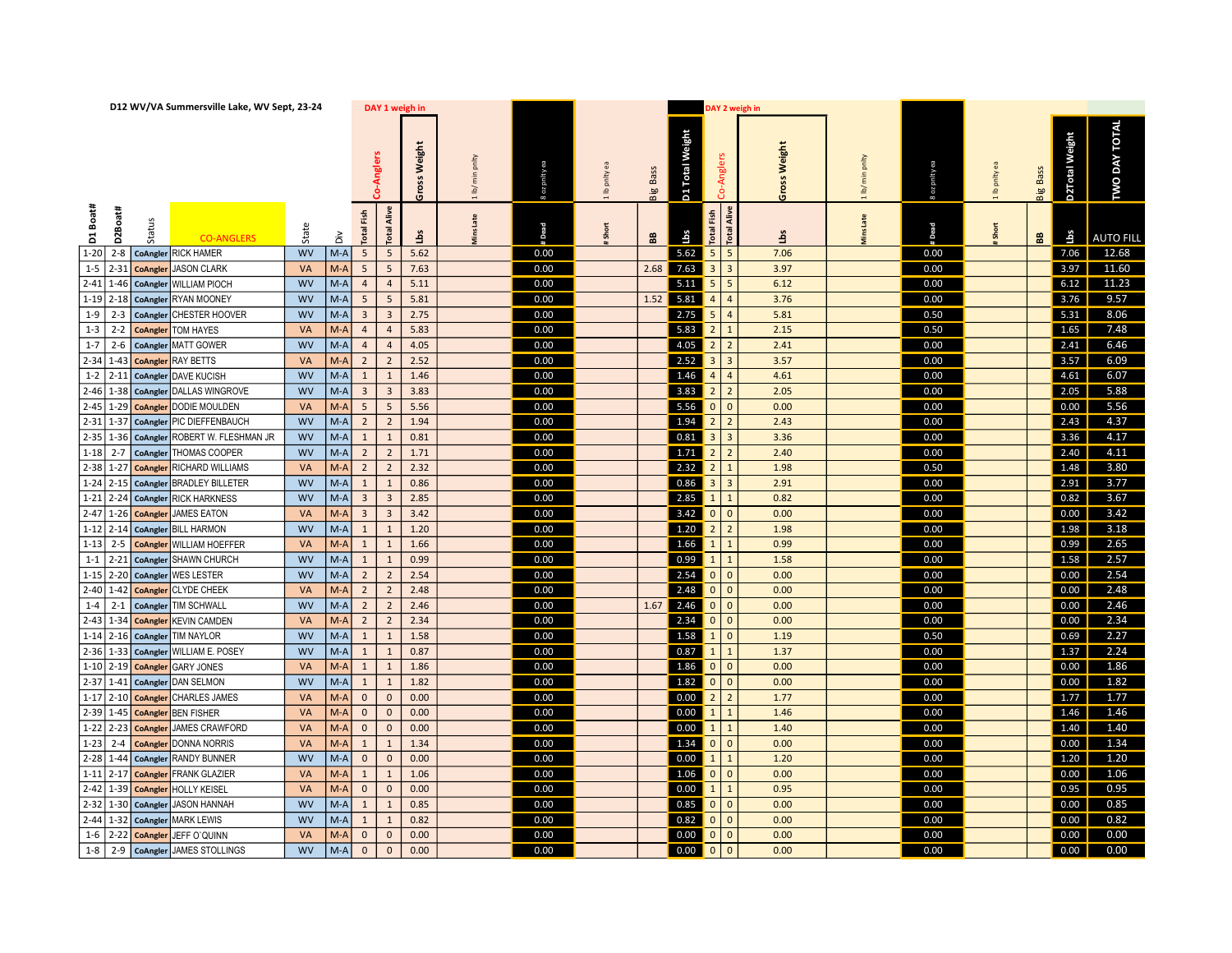| D12 WV/VA Summersville Lake, WV Sept, 23-24          |                    | DAY 1 weigh in                            |                 |         |                  |          |                 |                                                                                | DAY 2 weigh in                   |                 |                     |             |              |                 |                       |                      |  |
|------------------------------------------------------|--------------------|-------------------------------------------|-----------------|---------|------------------|----------|-----------------|--------------------------------------------------------------------------------|----------------------------------|-----------------|---------------------|-------------|--------------|-----------------|-----------------------|----------------------|--|
|                                                      |                    | Anglers                                   | Weight<br>Gross | lb/ min | ea<br>8 oz pnlty | lb pnity | <b>Big Bass</b> | D1 Total Weight                                                                | Co-Anglers                       | Weight<br>Gross | prity<br>$1$ lb/min | g oz pnlty  | to pritry ea | <b>Big Bass</b> | <b>D2Total Weight</b> | <b>TWO DAY TOTAL</b> |  |
| D1 Boat#<br>D2Boat#<br>Status<br><b>CO-ANGLERS</b>   | State<br>ăά        | <b>Total Alive</b><br><b>Total Fish</b>   | $\frac{1}{2}$   | Late    | <b>Pead</b>      | Short    | æ.              | Lbs                                                                            | Total Alive<br><b>Total Fish</b> | ξ               | Late                | <b>Dead</b> | Short        | $\frac{a}{b}$   | Lbs                   | <b>AUTO FILL</b>     |  |
| 1-20 2-8   CoAngler RICK HAMER                       | <b>WV</b><br>$M-A$ | 5 <sup>7</sup><br>5 <sup>5</sup>          | 5.62            |         | 0.00             |          |                 | 5.62                                                                           | 5<br>$\vert$ 5                   | 7.06            |                     | 0.00        |              |                 | 7.06                  | 12.68                |  |
| $1-5$ 2-31<br><b>JASON CLARK</b><br>CoAngler         | $M-A$<br>VA        | $5\overline{)}$<br>5 <sup>7</sup>         | 7.63            |         | 0.00             |          |                 | $2.68$ 7.63                                                                    | 3 3                              | 3.97            |                     | 0.00        |              |                 | 3.97                  | 11.60                |  |
| 2-41 1-46 CoAngler<br>WILLIAM PIOCH                  | <b>WV</b><br>$M-A$ | $\overline{4}$<br>$\overline{4}$          | 5.11            |         | 0.00             |          |                 | $5.11$ 5 5                                                                     |                                  | 6.12            |                     | 0.00        |              |                 | 6.12                  | 11.23                |  |
| $1-19$ 2-18<br><b>RYAN MOONEY</b><br>CoAngler        | $M-A$<br><b>WV</b> | 5 <sup>7</sup><br>$5\overline{5}$         | 5.81            |         | 0.00             |          |                 | 1.52 5.81                                                                      | 4<br>$\overline{4}$              | 3.76            |                     | 0.00        |              |                 | 3.76                  | 9.57                 |  |
| $1-9$ 2-3<br>CHESTER HOOVER<br>CoAngler              | $M-A$<br><b>WV</b> | 3 <sup>7</sup><br>$\overline{\mathbf{3}}$ | 2.75            |         | 0.00             |          |                 | $2.75 \begin{array}{ c c } 5 & 4 \end{array}$                                  |                                  | 5.81            |                     | 0.50        |              |                 | 5.31                  | 8.06                 |  |
| $1-3$ 2-2<br>TOM HAYES<br>CoAngler                   | VA<br>$M-A$        | $\overline{4}$<br>$\overline{4}$          | 5.83            |         | 0.00             |          |                 | 5.83                                                                           | 2 1                              | 2.15            |                     | 0.50        |              |                 | 1.65                  | 7.48                 |  |
| $1-7$ 2-6<br><b>MATT GOWER</b><br>CoAngler           | <b>WV</b><br>$M-A$ | $\overline{4}$<br>$\overline{4}$          | 4.05            |         | 0.00             |          |                 | $4.05$ 2 2                                                                     |                                  | 2.41            |                     | 0.00        |              |                 | 2.41                  | 6.46                 |  |
| $2 - 34$ 1-43<br><b>RAY BETTS</b><br>CoAngler        | $M-A$<br>VA        | $2^{\circ}$<br>$\overline{2}$             | 2.52            |         | 0.00             |          |                 | $2.52$ 3 3                                                                     |                                  | 3.57            |                     | 0.00        |              |                 | 3.57                  | 6.09                 |  |
| $1-2$ 2-11<br><b>DAVE KUCISH</b><br>CoAngler         | $M-A$<br><b>WV</b> | $\mathbf{1}$<br>1                         | 1.46            |         | 0.00             |          |                 | $1.46$ 4                                                                       | 4                                | 4.61            |                     | 0.00        |              |                 | 4.61                  | 6.07                 |  |
| $2 - 46$ 1-38<br>DALLAS WINGROVE<br>CoAngler         | $M-A$<br><b>WV</b> | 3 <sup>7</sup><br>$\overline{\mathbf{3}}$ | 3.83            |         | 0.00             |          |                 | 3.83                                                                           | $2$   2                          | 2.05            |                     | 0.00        |              |                 | 2.05                  | 5.88                 |  |
| $2 - 45$ 1-29<br><b>DODIE MOULDEN</b><br>CoAngler    | $M-A$<br>VA        | 5 <sup>5</sup><br>5 <sup>5</sup>          | 5.56            |         | 0.00             |          |                 | $5.56$ 0 0                                                                     |                                  | 0.00            |                     | 0.00        |              |                 | 0.00                  | 5.56                 |  |
| $2 - 31$ 1-37<br>PIC DIEFFENBAUCH<br>CoAngler        | $M-A$<br><b>WV</b> | $2^{\circ}$<br>$\overline{2}$             | 1.94            |         | 0.00             |          |                 | $\begin{array}{ c c c c c c c c c }\n\hline\n1.94 & 2 & 2\n\end{array}$        |                                  | 2.43            |                     | 0.00        |              |                 | 2.43                  | 4.37                 |  |
| $2 - 35$ 1-36<br>ROBERT W. FLESHMAN JR<br>CoAngler   | $M-A$<br><b>WV</b> | $\mathbf{1}$<br>1                         | 0.81            |         | 0.00             |          |                 | $\begin{array}{ c c c c c }\n\hline\n0.81 & 3 & 3\n\end{array}$                |                                  | 3.36            |                     | 0.00        |              |                 | 3.36                  | 4.17                 |  |
| $1-18$ 2-7<br><b>HOMAS COOPER</b><br>CoAngler        | $M-A$<br><b>WV</b> | $2^{\circ}$<br>$\overline{2}$             | 1.71            |         | 0.00             |          |                 |                                                                                |                                  | 2.40            |                     | 0.00        |              |                 | 2.40                  | 4.11                 |  |
| $2 - 38$ 1-27<br>RICHARD WILLIAMS<br>CoAngler        | $M-A$<br>VA        | $2^{\circ}$<br>$\overline{2}$             | 2.32            |         | 0.00             |          |                 | $2.32 \begin{array}{ c c c c c } \hline 2 & 1 \\ \hline \end{array}$           |                                  | 1.98            |                     | 0.50        |              |                 | 1.48                  | 3.80                 |  |
| $1-24$ 2-15<br><b>BRADLEY BILLETER</b><br>CoAngler   | $M-A$<br><b>WV</b> | 1<br>$\mathbf{1}$                         | 0.86            |         | 0.00             |          |                 | $0.86$ 3 3                                                                     |                                  | 2.91            |                     | 0.00        |              |                 | 2.91                  | 3.77                 |  |
| 1-21 2-24 CoAngler<br>RICK HARKNESS                  | $M-A$<br><b>WV</b> | $\overline{\mathbf{3}}$<br>3 <sup>7</sup> | 2.85            |         | 0.00             |          |                 | $2.85$ 1 1                                                                     |                                  | 0.82            |                     | 0.00        |              |                 | 0.82                  | 3.67                 |  |
| 2-47 1-26 CoAngler<br><b>JAMES EATON</b>             | $M-A$<br>VA        | 3 <sup>1</sup><br>$\overline{\mathbf{3}}$ | 3.42            |         | 0.00             |          |                 | $3.42 \quad 0 \quad 0$                                                         |                                  | 0.00            |                     | 0.00        |              |                 | 0.00                  | 3.42                 |  |
| $1-12$ 2-14 CoAngler<br><b>BILL HARMON</b>           | $M-A$<br><b>WV</b> | 1<br>$\mathbf{1}$                         | 1.20            |         | 0.00             |          |                 |                                                                                |                                  | 1.98            |                     | 0.00        |              |                 | 1.98                  | 3.18                 |  |
| $1-13$ 2-5<br><b>WILLIAM HOEFFER</b><br>CoAngler     | $M-A$<br>VA        | 1<br>$\mathbf{1}$                         | 1.66            |         | 0.00             |          |                 | $1.66$ 1 1                                                                     |                                  | 0.99            |                     | 0.00        |              |                 | 0.99                  | 2.65                 |  |
| $1-1$   2-21<br>SHAWN CHURCH<br>CoAngler             | $M-A$<br><b>WV</b> | 1<br>$\mathbf{1}$                         | 0.99            |         | 0.00             |          |                 | $0.99$ 1                                                                       | $\vert$ 1                        | 1.58            |                     | 0.00        |              |                 | 1.58                  | 2.57                 |  |
| $1-15$ 2-20 CoAngler<br>WES LESTER                   | <b>WV</b><br>$M-A$ | $2^{\circ}$<br>$\overline{2}$             | 2.54            |         | 0.00             |          |                 | $2.54$ 0 0                                                                     |                                  | 0.00            |                     | 0.00        |              |                 | 0.00                  | 2.54                 |  |
| $2-40$ 1-42<br><b>CLYDE CHEEK</b><br>CoAngler        | $M-A$<br><b>VA</b> | $2^{\circ}$<br>$\overline{2}$             | 2.48            |         | 0.00             |          |                 | $2.48$ 0 0                                                                     |                                  | 0.00            |                     | 0.00        |              |                 | 0.00                  | 2.48                 |  |
| $1-4$ 2-1<br>TIM SCHWALL<br>CoAngler                 | $M-A$<br><b>WV</b> | $2^{\circ}$<br>$\overline{2}$             | 2.46            |         | 0.00             |          |                 | $1.67$ $2.46$ 0 0                                                              |                                  | 0.00            |                     | 0.00        |              |                 | 0.00                  | 2.46                 |  |
| $2 - 43$ 1-34<br><b>KEVIN CAMDEN</b><br>CoAngler     | $M-A$<br><b>VA</b> | $2^{\circ}$<br>$\overline{2}$             | 2.34            |         | 0.00             |          |                 |                                                                                |                                  | 0.00            |                     | 0.00        |              |                 | 0.00                  | 2.34                 |  |
| $1-14$ 2-16 CoAngler<br><b>TIM NAYLOR</b>            | $M-A$<br><b>WV</b> | 1<br>$\mathbf{1}$                         | 1.58            |         | 0.00             |          |                 | $1.58 \mid 1 \mid 0$                                                           |                                  | 1.19            |                     | 0.50        |              |                 | 0.69                  | 2.27                 |  |
| $2 - 36$ 1-33<br>CoAngler WILLIAM E. POSEY           | $M-A$<br><b>WV</b> | 1<br>$\mathbf 1$                          | 0.87            |         | 0.00             |          |                 | $\boxed{0.87}$                                                                 | $\vert$ 1<br>$\vert$ 1           | 1.37            |                     | 0.00        |              |                 | 1.37                  | 2.24                 |  |
| $1-10$ 2-19 CoAngler<br><b>GARY JONES</b>            | $M-A$<br><b>VA</b> | 1<br>$\mathbf{1}$                         | 1.86            |         | 0.00             |          |                 | 1.86 0 0                                                                       |                                  | 0.00            |                     | 0.00        |              |                 | 0.00                  | $\boxed{1.86}$       |  |
| $2-37$ 1-41<br><b>DAN SELMON</b><br>CoAngler         | <b>WV</b><br>$M-A$ | $\mathbf{1}$<br>$\mathbf{1}$              | 1.82            |         | 0.00             |          |                 | $\begin{array}{ c c c c c c c c c } \hline 1.82 & 0 & 0 \\ \hline \end{array}$ |                                  | 0.00            |                     | 0.00        |              |                 | 0.00                  | 1.82                 |  |
| 1-17 2-10 CoAngler<br><b>CHARLES JAMES</b>           | $M-A$<br>VA        | $\mathbf{0}$<br>$\mathbf 0$               | 0.00            |         | 0.00             |          |                 | $\begin{array}{ c c c c c }\n\hline\n0.00 & 2 & 2\n\end{array}$                |                                  | 1.77            |                     | 0.00        |              |                 | 1.77                  | 1.77                 |  |
| $2-39$ 1-45<br><b>BEN FISHER</b><br><b>CoAngler</b>  | VA<br>$M-A$        | $\mathbf{0}$<br>$\mathsf{O}\xspace$       | 0.00            |         | 0.00             |          |                 | 0.00                                                                           | $\mathbf{1}$<br>$\vert$ 1        | 1.46            |                     | 0.00        |              |                 | 1.46                  | 1.46                 |  |
| $1-22$ 2-23<br><b>JAMES CRAWFORD</b><br>CoAngler     | $M-A$<br>VA        | $\mathbf{0}$<br>$\mathsf{O}\xspace$       | 0.00            |         | 0.00             |          |                 | $0.00$ 1 1                                                                     |                                  | 1.40            |                     | 0.00        |              |                 | 1.40                  | 1.40                 |  |
| $1-23$ 2-4<br><b>DONNA NORRIS</b><br><b>CoAngler</b> | $M-A$<br>VA        | 1<br>$\mathbf{1}$                         | 1.34            |         | 0.00             |          |                 | $1.34$ 0 0                                                                     |                                  | 0.00            |                     | 0.00        |              |                 | 0.00                  | 1.34                 |  |
| $2 - 28$ 1-44<br>CoAngler RANDY BUNNER               | $M-A$<br><b>WV</b> | $\mathbf{0}$<br>$\mathbf 0$               | 0.00            |         | 0.00             |          |                 | $0.00$ 1 1                                                                     |                                  | 1.20            |                     | 0.00        |              |                 | 1.20                  | 1.20                 |  |
| $1-11$ 2-17<br><b>FRANK GLAZIER</b><br>CoAngler      | $M-A$<br>VA        | 1<br>$\mathbf{1}$                         | 1.06            |         | 0.00             |          |                 | $1.06$ 0 0                                                                     |                                  | 0.00            |                     | 0.00        |              |                 | 0.00                  | 1.06                 |  |
| $2 - 42$ 1-39<br><b>HOLLY KEISEL</b><br>CoAngler     | $M-A$<br>VA        | $\mathbf{0}$<br>$\mathbf 0$               | 0.00            |         | 0.00             |          |                 | $0.00$ 1 1                                                                     |                                  | 0.95            |                     | 0.00        |              |                 | 0.95                  | 0.95                 |  |
| $2 - 32$ 1-30<br><b>JASON HANNAH</b><br>CoAngler     | <b>WV</b><br>$M-A$ | 1<br>$\mathbf{1}$                         | 0.85            |         | 0.00             |          |                 | $0.85$ 0 0                                                                     |                                  | 0.00            |                     | 0.00        |              |                 | 0.00                  | 0.85                 |  |
| $2 - 44$ 1-32<br><b>MARK LEWIS</b><br>CoAngler       | <b>WV</b><br>$M-A$ | 1<br>$\mathbf{1}$                         | 0.82            |         | 0.00             |          |                 | $\begin{array}{ c c c c c }\n\hline\n0.82 & 0 & 0\n\end{array}$                |                                  | 0.00            |                     | 0.00        |              |                 | 0.00                  | 0.82                 |  |
| $1-6$ 2-22<br>JEFF O'QUINN<br><b>CoAngler</b>        | VA<br>$M-A$        | $\overline{0}$<br>$\mathbf 0$             | 0.00            |         | 0.00             |          |                 | $0.00$ 0 0                                                                     |                                  | 0.00            |                     | 0.00        |              |                 | 0.00                  | 0.00                 |  |
| 1-8   2-9   CoAngler JAMES STOLLINGS                 | <b>WV</b><br>$M-A$ | $\overline{0}$<br>$\mathbf{0}$            | 0.00            |         | 0.00             |          |                 | $0.00$ 0 0                                                                     |                                  | 0.00            |                     | 0.00        |              |                 | 0.00                  | 0.00                 |  |